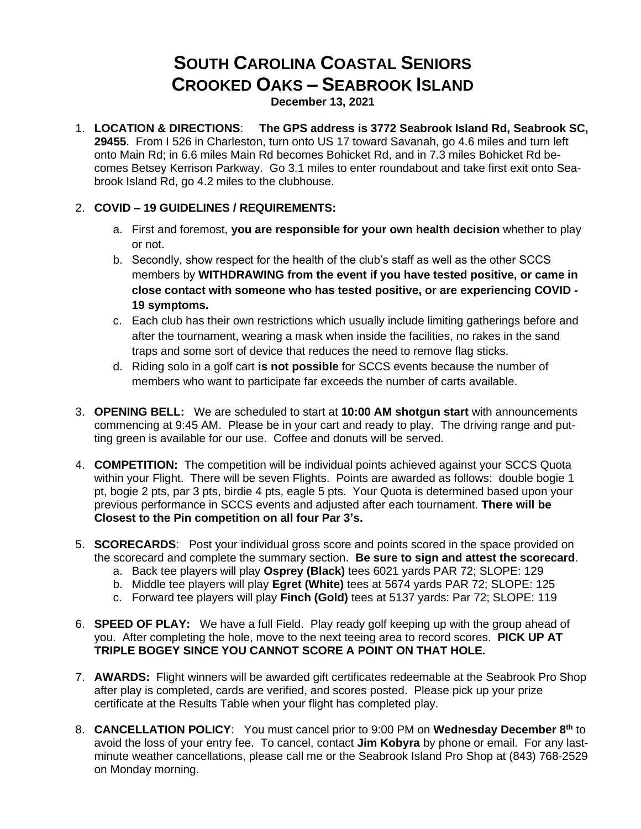## **SOUTH CAROLINA COASTAL SENIORS CROOKED OAKS – SEABROOK ISLAND**

**December 13, 2021**

1. **LOCATION & DIRECTIONS**: **The GPS address is 3772 Seabrook Island Rd, Seabrook SC, 29455**. From I 526 in Charleston, turn onto US 17 toward Savanah, go 4.6 miles and turn left onto Main Rd; in 6.6 miles Main Rd becomes Bohicket Rd, and in 7.3 miles Bohicket Rd becomes Betsey Kerrison Parkway. Go 3.1 miles to enter roundabout and take first exit onto Seabrook Island Rd, go 4.2 miles to the clubhouse.

## 2. **COVID – 19 GUIDELINES / REQUIREMENTS:**

- a. First and foremost, **you are responsible for your own health decision** whether to play or not.
- b. Secondly, show respect for the health of the club's staff as well as the other SCCS members by **WITHDRAWING from the event if you have tested positive, or came in close contact with someone who has tested positive, or are experiencing COVID - 19 symptoms.**
- c. Each club has their own restrictions which usually include limiting gatherings before and after the tournament, wearing a mask when inside the facilities, no rakes in the sand traps and some sort of device that reduces the need to remove flag sticks.
- d. Riding solo in a golf cart **is not possible** for SCCS events because the number of members who want to participate far exceeds the number of carts available.
- 3. **OPENING BELL:** We are scheduled to start at **10:00 AM shotgun start** with announcements commencing at 9:45 AM. Please be in your cart and ready to play. The driving range and putting green is available for our use. Coffee and donuts will be served.
- 4. **COMPETITION:** The competition will be individual points achieved against your SCCS Quota within your Flight. There will be seven Flights. Points are awarded as follows: double bogie 1 pt, bogie 2 pts, par 3 pts, birdie 4 pts, eagle 5 pts. Your Quota is determined based upon your previous performance in SCCS events and adjusted after each tournament. **There will be Closest to the Pin competition on all four Par 3's.**
- 5. **SCORECARDS**: Post your individual gross score and points scored in the space provided on the scorecard and complete the summary section. **Be sure to sign and attest the scorecard**.
	- a. Back tee players will play **Osprey (Black)** tees 6021 yards PAR 72; SLOPE: 129
	- b. Middle tee players will play **Egret (White)** tees at 5674 yards PAR 72; SLOPE: 125
	- c. Forward tee players will play **Finch (Gold)** tees at 5137 yards: Par 72; SLOPE: 119
- 6. **SPEED OF PLAY:** We have a full Field. Play ready golf keeping up with the group ahead of you. After completing the hole, move to the next teeing area to record scores. **PICK UP AT TRIPLE BOGEY SINCE YOU CANNOT SCORE A POINT ON THAT HOLE.**
- 7. **AWARDS:** Flight winners will be awarded gift certificates redeemable at the Seabrook Pro Shop after play is completed, cards are verified, and scores posted. Please pick up your prize certificate at the Results Table when your flight has completed play.
- 8. **CANCELLATION POLICY**: You must cancel prior to 9:00 PM on **Wednesday December 8 th** to avoid the loss of your entry fee. To cancel, contact **Jim Kobyra** by phone or email. For any lastminute weather cancellations, please call me or the Seabrook Island Pro Shop at (843) 768-2529 on Monday morning.